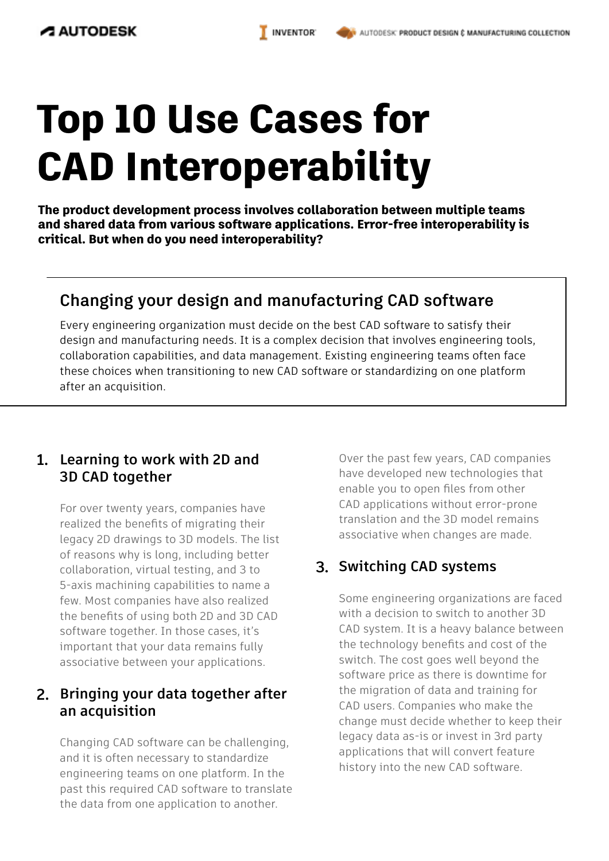# **Top 10 Use Cases for CAD Interoperability**

**The product development process involves collaboration between multiple teams and shared data from various software applications. Error-free interoperability is critical. But when do you need interoperability?**

## **Changing your design and manufacturing CAD software**

Every engineering organization must decide on the best CAD software to satisfy their design and manufacturing needs. It is a complex decision that involves engineering tools, collaboration capabilities, and data management. Existing engineering teams often face these choices when transitioning to new CAD software or standardizing on one platform after an acquisition.

#### **Learning to work with 2D and 1. 3D CAD together**

For over twenty years, companies have realized the benefits of migrating their legacy 2D drawings to 3D models. The list of reasons why is long, including better collaboration, virtual testing, and 3 to 5-axis machining capabilities to name a few. Most companies have also realized the benefits of using both 2D and 3D CAD software together. In those cases, it's important that your data remains fully associative between your applications.

#### **Bringing your data together after 2. an acquisition**

Changing CAD software can be challenging, and it is often necessary to standardize engineering teams on one platform. In the past this required CAD software to translate the data from one application to another.

Over the past few years, CAD companies have developed new technologies that enable you to open files from other CAD applications without error-prone translation and the 3D model remains associative when changes are made.

## **3. Switching CAD systems**

Some engineering organizations are faced with a decision to switch to another 3D CAD system. It is a heavy balance between the technology benefits and cost of the switch. The cost goes well beyond the software price as there is downtime for the migration of data and training for CAD users. Companies who make the change must decide whether to keep their legacy data as-is or invest in 3rd party applications that will convert feature history into the new CAD software.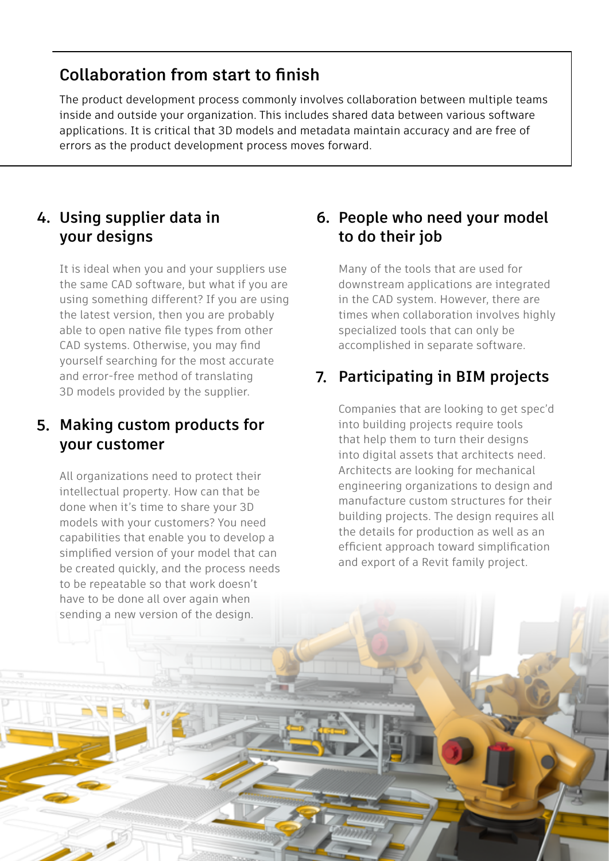## **Collaboration from start to finish**

The product development process commonly involves collaboration between multiple teams inside and outside your organization. This includes shared data between various software applications. It is critical that 3D models and metadata maintain accuracy and are free of errors as the product development process moves forward.

#### **Using supplier data in 4.your designs**

It is ideal when you and your suppliers use the same CAD software, but what if you are using something different? If you are using the latest version, then you are probably able to open native file types from other CAD systems. Otherwise, you may find yourself searching for the most accurate and error-free method of translating 3D models provided by the supplier.

## **Making custom products for 5. your customer**

All organizations need to protect their intellectual property. How can that be done when it's time to share your 3D models with your customers? You need capabilities that enable you to develop a simplified version of your model that can be created quickly, and the process needs to be repeatable so that work doesn't have to be done all over again when sending a new version of the design.

## **People who need your model 6. to do their job**

Many of the tools that are used for downstream applications are integrated in the CAD system. However, there are times when collaboration involves highly specialized tools that can only be accomplished in separate software.

## **Participating in BIM projects 7.**

Companies that are looking to get spec'd into building projects require tools that help them to turn their designs into digital assets that architects need. Architects are looking for mechanical engineering organizations to design and manufacture custom structures for their building projects. The design requires all the details for production as well as an efficient approach toward simplification and export of a Revit family project.